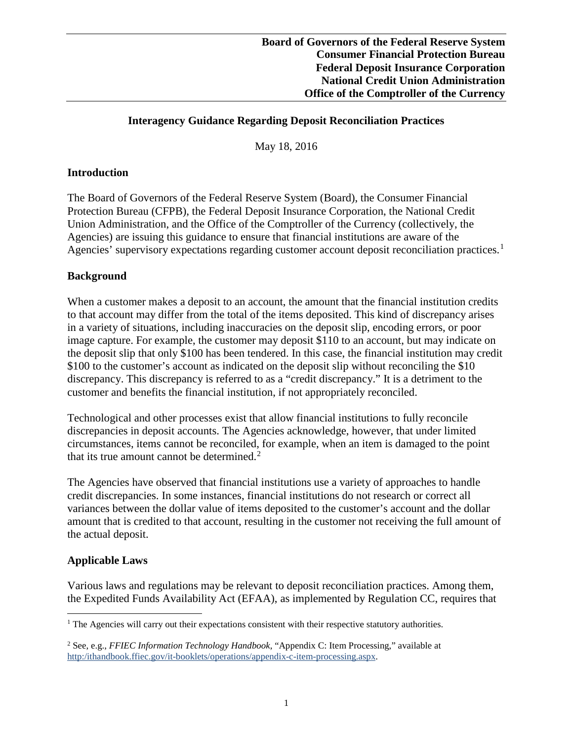### **Interagency Guidance Regarding Deposit Reconciliation Practices**

May 18, 2016

#### **Introduction**

The Board of Governors of the Federal Reserve System (Board), the Consumer Financial Protection Bureau (CFPB), the Federal Deposit Insurance Corporation, the National Credit Union Administration, and the Office of the Comptroller of the Currency (collectively, the Agencies) are issuing this guidance to ensure that financial institutions are aware of the Agencies' supervisory expectations regarding customer account deposit reconciliation practices.<sup>[1](#page-0-0)</sup>

### **Background**

When a customer makes a deposit to an account, the amount that the financial institution credits to that account may differ from the total of the items deposited. This kind of discrepancy arises in a variety of situations, including inaccuracies on the deposit slip, encoding errors, or poor image capture. For example, the customer may deposit \$110 to an account, but may indicate on the deposit slip that only \$100 has been tendered. In this case, the financial institution may credit \$100 to the customer's account as indicated on the deposit slip without reconciling the \$10 discrepancy. This discrepancy is referred to as a "credit discrepancy." It is a detriment to the customer and benefits the financial institution, if not appropriately reconciled.

Technological and other processes exist that allow financial institutions to fully reconcile discrepancies in deposit accounts. The Agencies acknowledge, however, that under limited circumstances, items cannot be reconciled, for example, when an item is damaged to the point that its true amount cannot be determined. $2$ 

The Agencies have observed that financial institutions use a variety of approaches to handle credit discrepancies. In some instances, financial institutions do not research or correct all variances between the dollar value of items deposited to the customer's account and the dollar amount that is credited to that account, resulting in the customer not receiving the full amount of the actual deposit.

# **Applicable Laws**

l

Various laws and regulations may be relevant to deposit reconciliation practices. Among them, the Expedited Funds Availability Act (EFAA), as implemented by Regulation CC, requires that

<span id="page-0-0"></span><sup>&</sup>lt;sup>1</sup> The Agencies will carry out their expectations consistent with their respective statutory authorities.

<span id="page-0-1"></span><sup>2</sup> See, e.g., *FFIEC Information Technology Handbook*, "Appendix C: Item Processing," available at [http:/ithandbook.ffiec.gov/it-booklets/operations/appendix-c-item-processing.aspx.](http://ithandbook.ffiec.gov/it-booklets/operations/appendix-c-item-processing.aspx)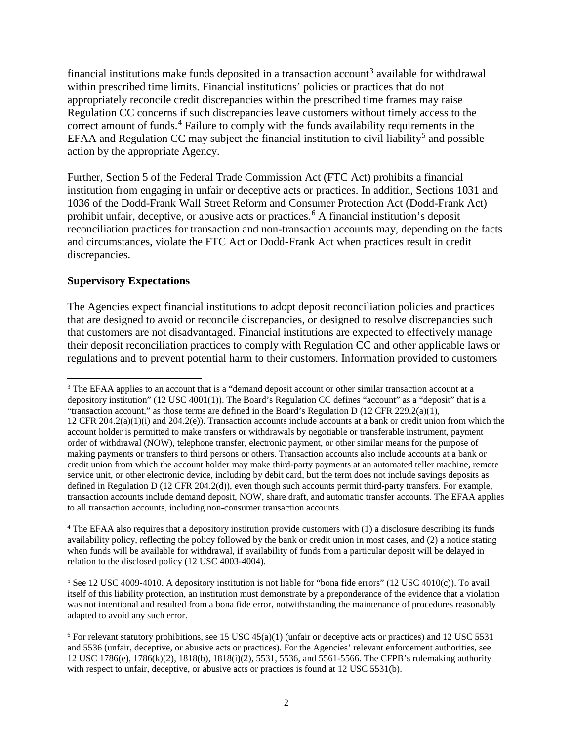financial institutions make funds deposited in a transaction account<sup>[3](#page-1-0)</sup> available for withdrawal within prescribed time limits. Financial institutions' policies or practices that do not appropriately reconcile credit discrepancies within the prescribed time frames may raise Regulation CC concerns if such discrepancies leave customers without timely access to the correct amount of funds.<sup>[4](#page-1-1)</sup> Failure to comply with the funds availability requirements in the EFAA and Regulation CC may subject the financial institution to civil liability<sup>[5](#page-1-2)</sup> and possible action by the appropriate Agency.

Further, Section 5 of the Federal Trade Commission Act (FTC Act) prohibits a financial institution from engaging in unfair or deceptive acts or practices. In addition, Sections 1031 and 1036 of the Dodd-Frank Wall Street Reform and Consumer Protection Act (Dodd-Frank Act) prohibit unfair, deceptive, or abusive acts or practices.<sup>[6](#page-1-3)</sup> A financial institution's deposit reconciliation practices for transaction and non-transaction accounts may, depending on the facts and circumstances, violate the FTC Act or Dodd-Frank Act when practices result in credit discrepancies.

# **Supervisory Expectations**

 $\overline{\phantom{a}}$ 

The Agencies expect financial institutions to adopt deposit reconciliation policies and practices that are designed to avoid or reconcile discrepancies, or designed to resolve discrepancies such that customers are not disadvantaged. Financial institutions are expected to effectively manage their deposit reconciliation practices to comply with Regulation CC and other applicable laws or regulations and to prevent potential harm to their customers. Information provided to customers

<span id="page-1-0"></span><sup>&</sup>lt;sup>3</sup> The EFAA applies to an account that is a "demand deposit account or other similar transaction account at a depository institution" (12 USC 4001(1)). The Board's Regulation CC defines "account" as a "deposit" that is a "transaction account," as those terms are defined in the Board's Regulation D  $(12 \text{ CFR } 229.2(a)(1),$ 12 CFR 204.2(a)(1)(i) and 204.2(e)). Transaction accounts include accounts at a bank or credit union from which the account holder is permitted to make transfers or withdrawals by negotiable or transferable instrument, payment order of withdrawal (NOW), telephone transfer, electronic payment, or other similar means for the purpose of making payments or transfers to third persons or others. Transaction accounts also include accounts at a bank or credit union from which the account holder may make third-party payments at an automated teller machine, remote service unit, or other electronic device, including by debit card, but the term does not include savings deposits as defined in Regulation D (12 CFR 204.2(d)), even though such accounts permit third-party transfers. For example, transaction accounts include demand deposit, NOW, share draft, and automatic transfer accounts. The EFAA applies to all transaction accounts, including non-consumer transaction accounts.

<span id="page-1-1"></span><sup>4</sup> The EFAA also requires that a depository institution provide customers with (1) a disclosure describing its funds availability policy, reflecting the policy followed by the bank or credit union in most cases, and (2) a notice stating when funds will be available for withdrawal, if availability of funds from a particular deposit will be delayed in relation to the disclosed policy (12 USC 4003-4004).

<span id="page-1-2"></span><sup>&</sup>lt;sup>5</sup> See 12 USC 4009-4010. A depository institution is not liable for "bona fide errors" (12 USC 4010(c)). To avail itself of this liability protection, an institution must demonstrate by a preponderance of the evidence that a violation was not intentional and resulted from a bona fide error, notwithstanding the maintenance of procedures reasonably adapted to avoid any such error.

<span id="page-1-3"></span> $6$  For relevant statutory prohibitions, see 15 USC 45(a)(1) (unfair or deceptive acts or practices) and 12 USC 5531 and 5536 (unfair, deceptive, or abusive acts or practices). For the Agencies' relevant enforcement authorities, see 12 USC 1786(e), 1786(k)(2), 1818(b), 1818(i)(2), 5531, 5536, and 5561-5566. The CFPB's rulemaking authority with respect to unfair, deceptive, or abusive acts or practices is found at 12 USC 5531(b).